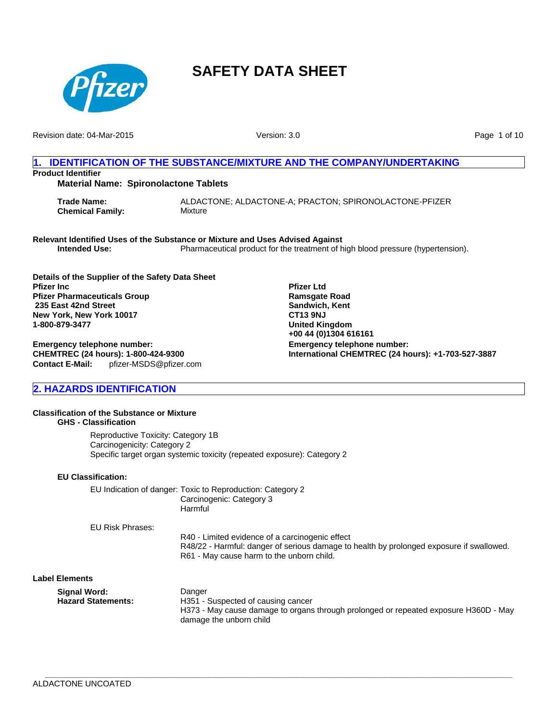

Revision date: 04-Mar-2015

Version: 3.0

Page 1 of 10

# **1. IDENTIFICATION OF THE SUBSTANCE/MIXTURE AND THE COMPANY/UNDERTAKING Product Identifier Material Name: Spironolactone Tablets**

**Trade Name:** ALDACTONE; ALDACTONE-A; PRACTON; SPIRONOLACTONE-PFIZER **Chemical Family:** Mixture

**Relevant Identified Uses of the Substance or Mixture and Uses Advised Against Intended Use:** Pharmaceutical product for the treatment of high blood pressure (hypertension).

**Details of the Supplier of the Safety Data Sheet Pfizer Inc Pfizer Pharmaceuticals Group 235 East 42nd Street New York, New York 10017 1-800-879-3477**

**Contact E-Mail:** pfizer-MSDS@pfizer.com **Emergency telephone number: CHEMTREC (24 hours): 1-800-424-9300**

**Emergency telephone number: International CHEMTREC (24 hours): +1-703-527-3887 Pfizer Ltd Ramsgate Road Sandwich, Kent CT13 9NJ United Kingdom +00 44 (0)1304 616161**

# **2. HAZARDS IDENTIFICATION**

## **Classification of the Substance or Mixture GHS - Classification**

Reproductive Toxicity: Category 1B Carcinogenicity: Category 2 Specific target organ systemic toxicity (repeated exposure): Category 2

#### **EU Classification:**

EU Indication of danger: Toxic to Reproduction: Category 2 Carcinogenic: Category 3 **Harmful** 

EU Risk Phrases:

R40 - Limited evidence of a carcinogenic effect R48/22 - Harmful: danger of serious damage to health by prolonged exposure if swallowed. R61 - May cause harm to the unborn child.

#### **Label Elements**

| Signal Word:       | Danger                                                                               |
|--------------------|--------------------------------------------------------------------------------------|
| Hazard Statements: | H351 - Suspected of causing cancer                                                   |
|                    | H373 - May cause damage to organs through prolonged or repeated exposure H360D - May |
|                    | damage the unborn child                                                              |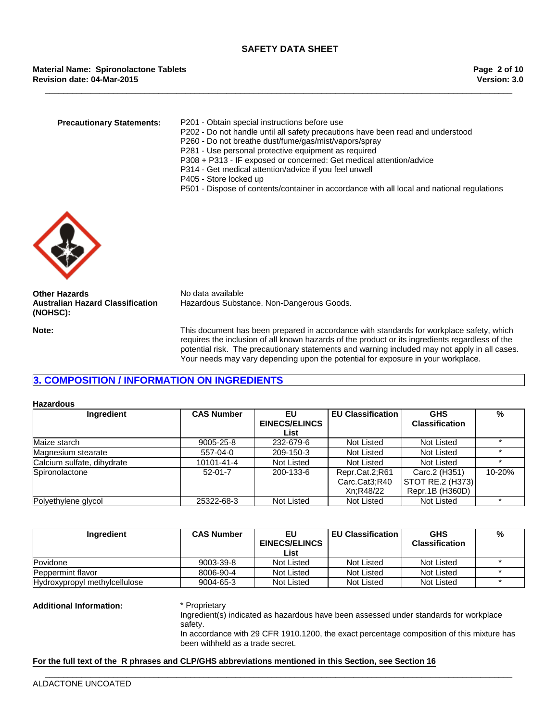**Revision date: 04-Mar-2015 Material Name: Spironolactone Tablets**

**Precautionary Statements:** P201 - Obtain special instructions before use

- P202 Do not handle until all safety precautions have been read and understood
- P260 Do not breathe dust/fume/gas/mist/vapors/spray

**\_\_\_\_\_\_\_\_\_\_\_\_\_\_\_\_\_\_\_\_\_\_\_\_\_\_\_\_\_\_\_\_\_\_\_\_\_\_\_\_\_\_\_\_\_\_\_\_\_\_\_\_\_\_\_\_\_\_\_\_\_\_\_\_\_\_\_\_\_\_\_\_\_\_\_\_\_\_\_\_\_\_\_\_\_\_\_\_\_\_\_\_\_\_\_\_\_\_\_\_\_\_\_**

- P281 Use personal protective equipment as required
- P308 + P313 IF exposed or concerned: Get medical attention/advice
- P314 Get medical attention/advice if you feel unwell
- P405 Store locked up
- P501 Dispose of contents/container in accordance with all local and national regulations



**Other Hazards** No data available **Australian Hazard Classification (NOHSC):**

Hazardous Substance. Non-Dangerous Goods.

**Note:** This document has been prepared in accordance with standards for workplace safety, which requires the inclusion of all known hazards of the product or its ingredients regardless of the potential risk. The precautionary statements and warning included may not apply in all cases. Your needs may vary depending upon the potential for exposure in your workplace.

# **3. COMPOSITION / INFORMATION ON INGREDIENTS**

#### **Hazardous**

| Ingredient                 | <b>CAS Number</b> | <b>EU Classification</b><br>EU |                | <b>GHS</b>            | $\%$   |
|----------------------------|-------------------|--------------------------------|----------------|-----------------------|--------|
|                            |                   | <b>EINECS/ELINCS</b>           |                | <b>Classification</b> |        |
|                            |                   | List                           |                |                       |        |
| Maize starch               | 9005-25-8         | 232-679-6                      | Not Listed     | Not Listed            |        |
| Magnesium stearate         | 557-04-0          | 209-150-3                      | Not Listed     | Not Listed            |        |
| Calcium sulfate, dihydrate | 10101-41-4        | Not Listed                     | Not Listed     | Not Listed            |        |
| Spironolactone             | $52-01-7$         | 200-133-6                      | Repr.Cat.2;R61 | Carc.2 (H351)         | 10-20% |
|                            |                   |                                | Carc.Cat3;R40  | STOT RE.2 (H373)      |        |
|                            |                   |                                | Xn:R48/22      | Repr.1B (H360D)       |        |
| Polyethylene glycol        | 25322-68-3        | Not Listed                     | Not Listed     | Not Listed            |        |

| Ingredient                    | <b>CAS Number</b> | EU<br><b>EINECS/ELINCS</b><br>List | <b>EU Classification</b> | <b>GHS</b><br><b>Classification</b> | % |
|-------------------------------|-------------------|------------------------------------|--------------------------|-------------------------------------|---|
| Povidone                      | 9003-39-8         | Not Listed                         | Not Listed               | Not Listed                          |   |
| <b>Peppermint flavor</b>      | 8006-90-4         | Not Listed                         | Not Listed               | Not Listed                          |   |
| Hydroxypropyl methylcellulose | 9004-65-3         | Not Listed                         | Not Listed               | Not Listed                          |   |

#### **Additional Information:** \* Proprietary

Ingredient(s) indicated as hazardous have been assessed under standards for workplace safety.

In accordance with 29 CFR 1910.1200, the exact percentage composition of this mixture has been withheld as a trade secret.

#### **For the full text of the R phrases and CLP/GHS abbreviations mentioned in this Section, see Section 16**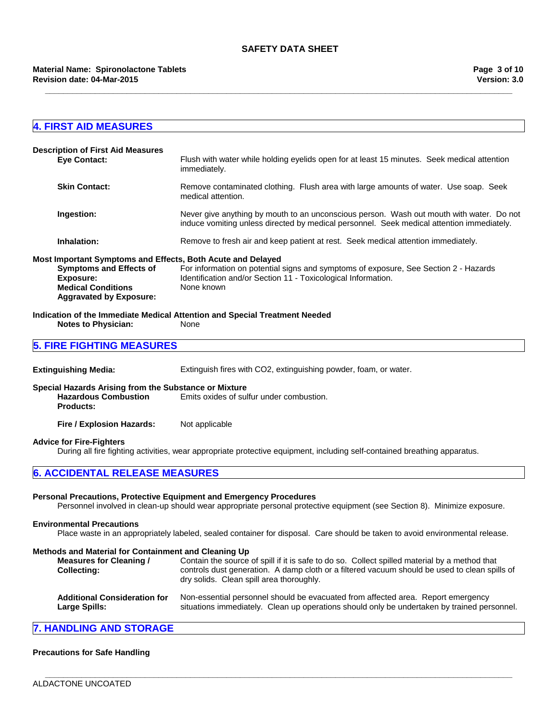**\_\_\_\_\_\_\_\_\_\_\_\_\_\_\_\_\_\_\_\_\_\_\_\_\_\_\_\_\_\_\_\_\_\_\_\_\_\_\_\_\_\_\_\_\_\_\_\_\_\_\_\_\_\_\_\_\_\_\_\_\_\_\_\_\_\_\_\_\_\_\_\_\_\_\_\_\_\_\_\_\_\_\_\_\_\_\_\_\_\_\_\_\_\_\_\_\_\_\_\_\_\_\_**

#### **Revision date: 04-Mar-2015 Material Name: Spironolactone Tablets**

| <b>4. FIRST AID MEASURES</b>                                                                                                                                                                                                 |                                                                                                                                                                                                                                            |
|------------------------------------------------------------------------------------------------------------------------------------------------------------------------------------------------------------------------------|--------------------------------------------------------------------------------------------------------------------------------------------------------------------------------------------------------------------------------------------|
|                                                                                                                                                                                                                              |                                                                                                                                                                                                                                            |
| <b>Description of First Aid Measures</b><br><b>Eye Contact:</b>                                                                                                                                                              | Flush with water while holding eyelids open for at least 15 minutes. Seek medical attention<br>immediately.                                                                                                                                |
| <b>Skin Contact:</b>                                                                                                                                                                                                         | Remove contaminated clothing. Flush area with large amounts of water. Use soap. Seek<br>medical attention.                                                                                                                                 |
| Ingestion:                                                                                                                                                                                                                   | Never give anything by mouth to an unconscious person. Wash out mouth with water. Do not<br>induce vomiting unless directed by medical personnel. Seek medical attention immediately.                                                      |
| Inhalation:                                                                                                                                                                                                                  | Remove to fresh air and keep patient at rest. Seek medical attention immediately.                                                                                                                                                          |
| Most Important Symptoms and Effects, Both Acute and Delayed<br><b>Symptoms and Effects of</b><br><b>Exposure:</b><br><b>Medical Conditions</b><br><b>Aggravated by Exposure:</b>                                             | For information on potential signs and symptoms of exposure, See Section 2 - Hazards<br>Identification and/or Section 11 - Toxicological Information.<br>None known                                                                        |
| <b>Notes to Physician:</b>                                                                                                                                                                                                   | Indication of the Immediate Medical Attention and Special Treatment Needed<br>None                                                                                                                                                         |
| <b>5. FIRE FIGHTING MEASURES</b>                                                                                                                                                                                             |                                                                                                                                                                                                                                            |
| <b>Extinguishing Media:</b>                                                                                                                                                                                                  | Extinguish fires with CO2, extinguishing powder, foam, or water.                                                                                                                                                                           |
| Special Hazards Arising from the Substance or Mixture<br><b>Hazardous Combustion</b><br><b>Products:</b>                                                                                                                     | Emits oxides of sulfur under combustion.                                                                                                                                                                                                   |
|                                                                                                                                                                                                                              |                                                                                                                                                                                                                                            |
| Fire / Explosion Hazards:                                                                                                                                                                                                    | Not applicable                                                                                                                                                                                                                             |
|                                                                                                                                                                                                                              | During all fire fighting activities, wear appropriate protective equipment, including self-contained breathing apparatus.                                                                                                                  |
|                                                                                                                                                                                                                              |                                                                                                                                                                                                                                            |
|                                                                                                                                                                                                                              | Personal Precautions, Protective Equipment and Emergency Procedures<br>Personnel involved in clean-up should wear appropriate personal protective equipment (see Section 8). Minimize exposure.                                            |
|                                                                                                                                                                                                                              | Place waste in an appropriately labeled, sealed container for disposal. Care should be taken to avoid environmental release.                                                                                                               |
| <b>Advice for Fire-Fighters</b><br><b>6. ACCIDENTAL RELEASE MEASURES</b><br><b>Environmental Precautions</b><br>Methods and Material for Containment and Cleaning Up<br><b>Measures for Cleaning /</b><br><b>Collecting:</b> | Contain the source of spill if it is safe to do so. Collect spilled material by a method that<br>controls dust generation. A damp cloth or a filtered vacuum should be used to clean spills of<br>dry solids. Clean spill area thoroughly. |

# **Precautions for Safe Handling**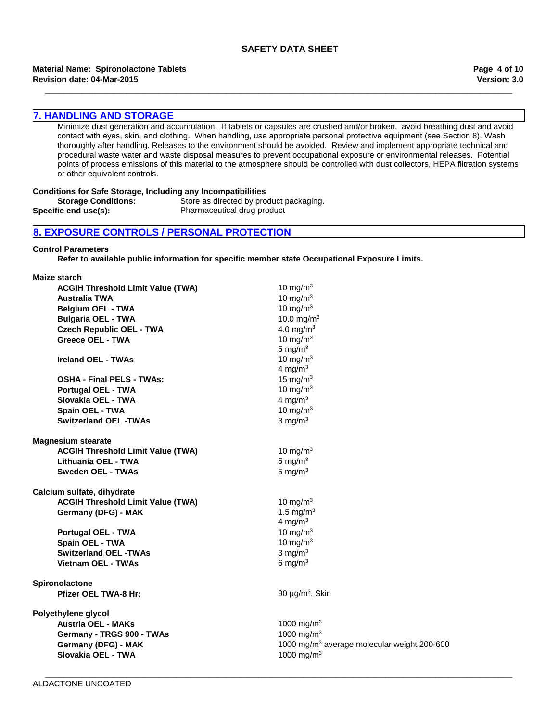**\_\_\_\_\_\_\_\_\_\_\_\_\_\_\_\_\_\_\_\_\_\_\_\_\_\_\_\_\_\_\_\_\_\_\_\_\_\_\_\_\_\_\_\_\_\_\_\_\_\_\_\_\_\_\_\_\_\_\_\_\_\_\_\_\_\_\_\_\_\_\_\_\_\_\_\_\_\_\_\_\_\_\_\_\_\_\_\_\_\_\_\_\_\_\_\_\_\_\_\_\_\_\_**

#### **Revision date: 04-Mar-2015 Material Name: Spironolactone Tablets**

**Version: 3.0 Page 4 of 10**

## **7. HANDLING AND STORAGE**

Minimize dust generation and accumulation. If tablets or capsules are crushed and/or broken, avoid breathing dust and avoid contact with eyes, skin, and clothing. When handling, use appropriate personal protective equipment (see Section 8). Wash thoroughly after handling. Releases to the environment should be avoided. Review and implement appropriate technical and procedural waste water and waste disposal measures to prevent occupational exposure or environmental releases. Potential points of process emissions of this material to the atmosphere should be controlled with dust collectors, HEPA filtration systems or other equivalent controls.

#### **Conditions for Safe Storage, Including any Incompatibilities**

**Storage Conditions:** Store as directed by product packaging. **Specific end use(s):** Pharmaceutical drug product

# **8. EXPOSURE CONTROLS / PERSONAL PROTECTION**

#### **Control Parameters**

**Refer to available public information for specific member state Occupational Exposure Limits.**

**Maize starch**

| <b>ACGIH Threshold Limit Value (TWA)</b> | 10 mg/m $3$                                             |
|------------------------------------------|---------------------------------------------------------|
| <b>Australia TWA</b>                     | 10 mg/m $3$                                             |
| <b>Belgium OEL - TWA</b>                 | 10 mg/m $3$                                             |
| <b>Bulgaria OEL - TWA</b>                | 10.0 mg/m <sup>3</sup>                                  |
| <b>Czech Republic OEL - TWA</b>          | 4.0 mg/m <sup>3</sup>                                   |
| <b>Greece OEL - TWA</b>                  | 10 mg/m $3$                                             |
|                                          | 5 mg/ $m3$                                              |
| <b>Ireland OEL - TWAs</b>                | 10 mg/m $3$                                             |
|                                          | 4 mg/m $3$                                              |
| <b>OSHA - Final PELS - TWAs:</b>         | 15 mg/m $3$                                             |
| <b>Portugal OEL - TWA</b>                | 10 mg/m $3$                                             |
| Slovakia OEL - TWA                       | 4 mg/m $3$                                              |
| Spain OEL - TWA                          | 10 mg/m $3$                                             |
| <b>Switzerland OEL -TWAs</b>             | $3$ mg/m <sup>3</sup>                                   |
| <b>Magnesium stearate</b>                |                                                         |
| <b>ACGIH Threshold Limit Value (TWA)</b> | 10 mg/m $3$                                             |
| Lithuania OEL - TWA                      | 5 mg/m $3$                                              |
| <b>Sweden OEL - TWAs</b>                 | 5 mg/m $3$                                              |
| Calcium sulfate, dihydrate               |                                                         |
| <b>ACGIH Threshold Limit Value (TWA)</b> | 10 mg/m <sup>3</sup>                                    |
| Germany (DFG) - MAK                      | 1.5 mg/ $m3$                                            |
|                                          | 4 mg/m <sup>3</sup>                                     |
| Portugal OEL - TWA                       | 10 mg/m $3$                                             |
| <b>Spain OEL - TWA</b>                   | 10 mg/m $3$                                             |
| <b>Switzerland OEL -TWAs</b>             | $3$ mg/m <sup>3</sup>                                   |
| <b>Vietnam OEL - TWAs</b>                | 6 mg/m $3$                                              |
| Spironolactone                           |                                                         |
| <b>Pfizer OEL TWA-8 Hr:</b>              | 90 $\mu$ g/m <sup>3</sup> , Skin                        |
| Polyethylene glycol                      |                                                         |
| <b>Austria OEL - MAKs</b>                | 1000 mg/m <sup>3</sup>                                  |
| Germany - TRGS 900 - TWAs                | 1000 mg/m <sup>3</sup>                                  |
| Germany (DFG) - MAK                      | 1000 mg/m <sup>3</sup> average molecular weight 200-600 |
| Slovakia OEL - TWA                       | 1000 mg/m <sup>3</sup>                                  |
|                                          |                                                         |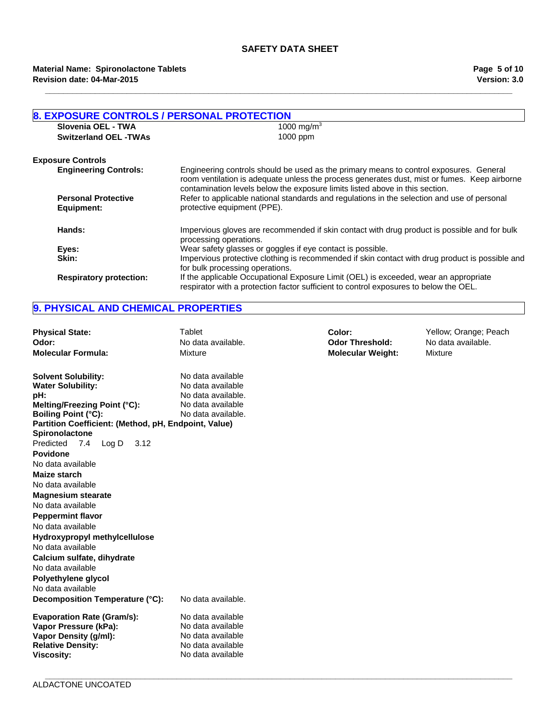**\_\_\_\_\_\_\_\_\_\_\_\_\_\_\_\_\_\_\_\_\_\_\_\_\_\_\_\_\_\_\_\_\_\_\_\_\_\_\_\_\_\_\_\_\_\_\_\_\_\_\_\_\_\_\_\_\_\_\_\_\_\_\_\_\_\_\_\_\_\_\_\_\_\_\_\_\_\_\_\_\_\_\_\_\_\_\_\_\_\_\_\_\_\_\_\_\_\_\_\_\_\_\_**

| <b>8. EXPOSURE CONTROLS / PERSONAL PROTECTION</b> |                                                                                                                                                                                                                                                                        |
|---------------------------------------------------|------------------------------------------------------------------------------------------------------------------------------------------------------------------------------------------------------------------------------------------------------------------------|
| Slovenia OEL - TWA                                | 1000 mg/m <sup>3</sup>                                                                                                                                                                                                                                                 |
| <b>Switzerland OEL -TWAs</b>                      | 1000 ppm                                                                                                                                                                                                                                                               |
| <b>Exposure Controls</b>                          |                                                                                                                                                                                                                                                                        |
| <b>Engineering Controls:</b>                      | Engineering controls should be used as the primary means to control exposures. General<br>room ventilation is adequate unless the process generates dust, mist or fumes. Keep airborne<br>contamination levels below the exposure limits listed above in this section. |
| <b>Personal Protective</b><br>Equipment:          | Refer to applicable national standards and regulations in the selection and use of personal<br>protective equipment (PPE).                                                                                                                                             |
| Hands:                                            | Impervious gloves are recommended if skin contact with drug product is possible and for bulk<br>processing operations.                                                                                                                                                 |
| Eyes:                                             | Wear safety glasses or goggles if eye contact is possible.                                                                                                                                                                                                             |
| Skin:                                             | Impervious protective clothing is recommended if skin contact with drug product is possible and<br>for bulk processing operations.                                                                                                                                     |
| <b>Respiratory protection:</b>                    | If the applicable Occupational Exposure Limit (OEL) is exceeded, wear an appropriate<br>respirator with a protection factor sufficient to control exposures to below the OEL.                                                                                          |

# **9. PHYSICAL AND CHEMICAL PROPERTIES**

| <b>Physical State:</b><br>Odor:<br><b>Molecular Formula:</b>                                                                                                                                                 | Tablet<br>No data available.<br>Mixture                                                                 | Color:<br><b>Odor Threshold:</b><br><b>Molecular Weight:</b> | Yellow; Orange; Peach<br>No data available.<br>Mixture |
|--------------------------------------------------------------------------------------------------------------------------------------------------------------------------------------------------------------|---------------------------------------------------------------------------------------------------------|--------------------------------------------------------------|--------------------------------------------------------|
| <b>Solvent Solubility:</b><br><b>Water Solubility:</b><br>pH:<br>Melting/Freezing Point (°C):<br><b>Boiling Point (°C):</b><br>Partition Coefficient: (Method, pH, Endpoint, Value)<br><b>Spironolactone</b> | No data available<br>No data available<br>No data available.<br>No data available<br>No data available. |                                                              |                                                        |
| Predicted<br>7.4<br>3.12<br>$\textsf{Log}\,D$<br>Povidone<br>No data available<br>Maize starch<br>No data available                                                                                          |                                                                                                         |                                                              |                                                        |
| <b>Magnesium stearate</b><br>No data available<br><b>Peppermint flavor</b><br>No data available<br>Hydroxypropyl methylcellulose                                                                             |                                                                                                         |                                                              |                                                        |
| No data available<br>Calcium sulfate, dihydrate<br>No data available<br>Polyethylene glycol<br>No data available<br>Decomposition Temperature (°C):                                                          | No data available.                                                                                      |                                                              |                                                        |
| <b>Evaporation Rate (Gram/s):</b><br>Vapor Pressure (kPa):<br>Vapor Density (g/ml):<br><b>Relative Density:</b><br><b>Viscosity:</b>                                                                         | No data available<br>No data available<br>No data available<br>No data available<br>No data available   |                                                              |                                                        |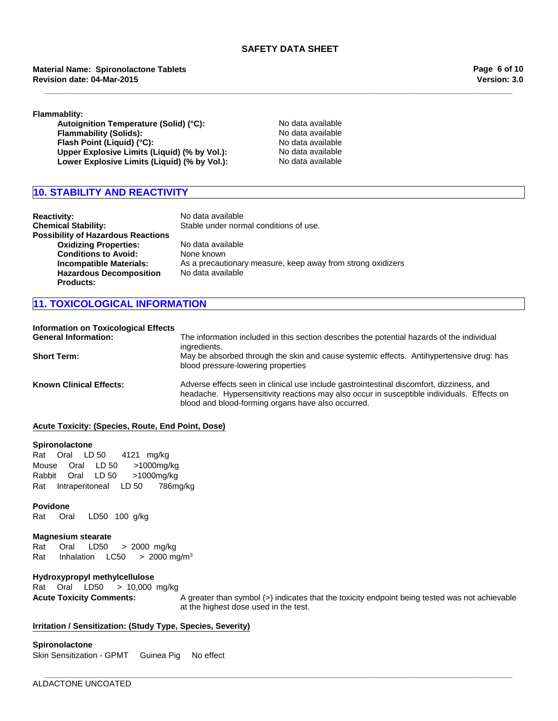**\_\_\_\_\_\_\_\_\_\_\_\_\_\_\_\_\_\_\_\_\_\_\_\_\_\_\_\_\_\_\_\_\_\_\_\_\_\_\_\_\_\_\_\_\_\_\_\_\_\_\_\_\_\_\_\_\_\_\_\_\_\_\_\_\_\_\_\_\_\_\_\_\_\_\_\_\_\_\_\_\_\_\_\_\_\_\_\_\_\_\_\_\_\_\_\_\_\_\_\_\_\_\_**

**Material Name: Spironolactone Tablets Revision date: 04-Mar-2015**

**Version: 3.0 Page 6 of 10**

**Flammablity:**

Autoignition Temperature (Solid) (°C): No data available **Flammability (Solids):** No data available **Flash Point (Liquid) (°C):** No data available **Upper Explosive Limits (Liquid) (% by Vol.):** No data available<br> **Lower Explosive Limits (Liquid) (% by Vol.):** No data available Lower Explosive Limits (Liquid) (% by Vol.):

# **10. STABILITY AND REACTIVITY**

| <b>Reactivity:</b><br><b>Chemical Stability:</b><br><b>Possibility of Hazardous Reactions</b> | No data available<br>Stable under normal conditions of use.                      |
|-----------------------------------------------------------------------------------------------|----------------------------------------------------------------------------------|
| <b>Oxidizing Properties:</b><br><b>Conditions to Avoid:</b>                                   | No data available<br>None known                                                  |
| Incompatible Materials:<br><b>Hazardous Decomposition</b><br><b>Products:</b>                 | As a precautionary measure, keep away from strong oxidizers<br>No data available |

# **11. TOXICOLOGICAL INFORMATION**

| <b>Information on Toxicological Effects</b> |                                                                                                                                                                                                                                              |
|---------------------------------------------|----------------------------------------------------------------------------------------------------------------------------------------------------------------------------------------------------------------------------------------------|
| <b>General Information:</b>                 | The information included in this section describes the potential hazards of the individual<br>ingredients.                                                                                                                                   |
| <b>Short Term:</b>                          | May be absorbed through the skin and cause systemic effects. Antihypertensive drug: has<br>blood pressure-lowering properties                                                                                                                |
| <b>Known Clinical Effects:</b>              | Adverse effects seen in clinical use include gastrointestinal discomfort, dizziness, and<br>headache. Hypersensitivity reactions may also occur in susceptible individuals. Effects on<br>blood and blood-forming organs have also occurred. |

**\_\_\_\_\_\_\_\_\_\_\_\_\_\_\_\_\_\_\_\_\_\_\_\_\_\_\_\_\_\_\_\_\_\_\_\_\_\_\_\_\_\_\_\_\_\_\_\_\_\_\_\_\_\_\_\_\_\_\_\_\_\_\_\_\_\_\_\_\_\_\_\_\_\_\_\_\_\_\_\_\_\_\_\_\_\_\_\_\_\_\_\_\_\_\_\_\_\_\_\_\_\_\_**

#### **Acute Toxicity: (Species, Route, End Point, Dose)**

#### **Spironolactone**

MouseOralLD 50>1000mg/kg RabbitOralLD 50>1000mg/kg RatIntraperitonealLD 50786mg/kg RatOralLD 504121 mg/kg

#### **Povidone**

Rat Oral LD50 100 g/kg

#### **Magnesium stearate**

Rat Oral LD50 >2000mg/kg Rat Inhalation  $LC50$  >  $2000$  mg/m<sup>3</sup>

#### **Hydroxypropyl methylcellulose**

RatOralLD50 >10,000mg/kg

**Acute Toxicity Comments:** A greater than symbol (>) indicates that the toxicity endpoint being tested was not achievable at the highest dose used in the test.

## **Irritation / Sensitization: (Study Type, Species, Severity)**

**Spironolactone** Skin Sensitization - GPMTGuinea PigNo effect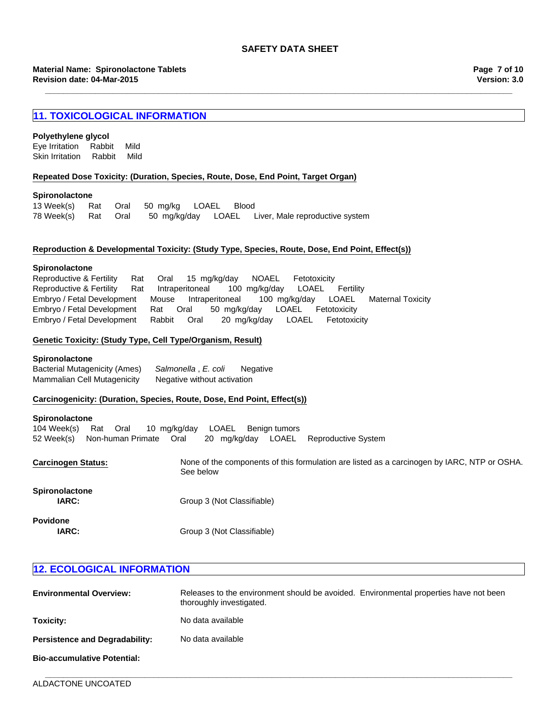**\_\_\_\_\_\_\_\_\_\_\_\_\_\_\_\_\_\_\_\_\_\_\_\_\_\_\_\_\_\_\_\_\_\_\_\_\_\_\_\_\_\_\_\_\_\_\_\_\_\_\_\_\_\_\_\_\_\_\_\_\_\_\_\_\_\_\_\_\_\_\_\_\_\_\_\_\_\_\_\_\_\_\_\_\_\_\_\_\_\_\_\_\_\_\_\_\_\_\_\_\_\_\_**

# **11. TOXICOLOGICAL INFORMATION**

#### **Polyethylene glycol**

Eye IrritationRabbitMild Skin IrritationRabbitMild

#### **Repeated Dose Toxicity: (Duration, Species, Route, Dose, End Point, Target Organ)**

#### **Spironolactone**

|  | 13 Week(s) Rat Oral 50 mg/kg LOAEL Blood |  |                                                                        |
|--|------------------------------------------|--|------------------------------------------------------------------------|
|  |                                          |  | 78 Week(s) Bat Oral 50 mg/kg/day LOAEL Liver, Male reproductive system |

#### **Reproduction & Developmental Toxicity: (Study Type, Species, Route, Dose, End Point, Effect(s))**

#### **Spironolactone**

Reproductive & FertilityRatIntraperitoneal100mg/kg/dayLOAELFertility Embryo / Fetal DevelopmentMouseIntraperitoneal100mg/kg/dayLOAELMaternal Toxicity Embryo / Fetal DevelopmentRatOral50mg/kg/dayLOAELFetotoxicity Embryo / Fetal DevelopmentRabbitOral20mg/kg/dayLOAELFetotoxicity Reproductive & FertilityRatOral15mg/kg/dayNOAELFetotoxicity

### **Genetic Toxicity: (Study Type, Cell Type/Organism, Result)**

#### **Spironolactone**

Bacterial Mutagenicity (Ames)*Salmonella* , *E. coli* Negative Mammalian Cell Mutagenicity Negative without activation

#### **Carcinogenicity: (Duration, Species, Route, Dose, End Point, Effect(s))**

#### **Spironolactone**

104 Week(s)RatOral10mg/kg/dayLOAELBenign tumors 52 Week(s)Non-human PrimateOral20mg/kg/dayLOAELReproductive System

**Carcinogen Status:** None of the components of this formulation are listed as a carcinogen by IARC, NTP or OSHA. See below

| <b>Spironolactone</b><br>IARC: | Group 3 (Not Classifiable) |
|--------------------------------|----------------------------|
| Povidone<br>IARC:              | Group 3 (Not Classifiable) |

| <b>12. ECOLOGICAL INFORMATION</b>     |                                                                                                                   |  |  |  |
|---------------------------------------|-------------------------------------------------------------------------------------------------------------------|--|--|--|
| <b>Environmental Overview:</b>        | Releases to the environment should be avoided. Environmental properties have not been<br>thoroughly investigated. |  |  |  |
| Toxicity:                             | No data available                                                                                                 |  |  |  |
| <b>Persistence and Degradability:</b> | No data available                                                                                                 |  |  |  |
| <b>Bio-accumulative Potential:</b>    |                                                                                                                   |  |  |  |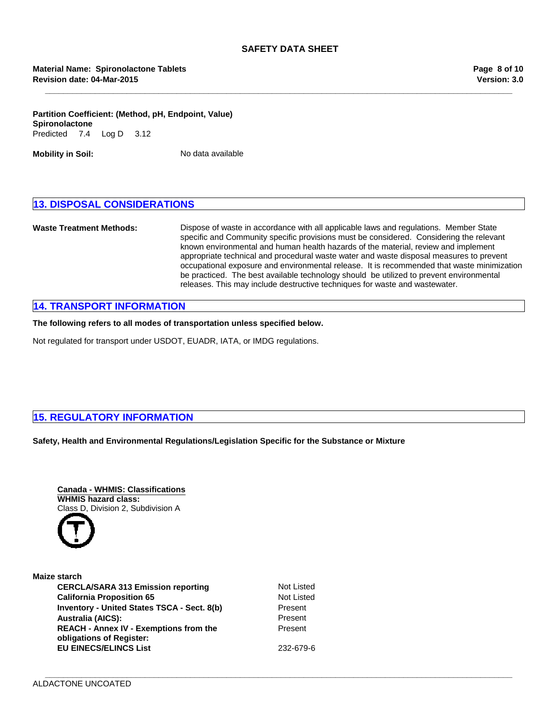**\_\_\_\_\_\_\_\_\_\_\_\_\_\_\_\_\_\_\_\_\_\_\_\_\_\_\_\_\_\_\_\_\_\_\_\_\_\_\_\_\_\_\_\_\_\_\_\_\_\_\_\_\_\_\_\_\_\_\_\_\_\_\_\_\_\_\_\_\_\_\_\_\_\_\_\_\_\_\_\_\_\_\_\_\_\_\_\_\_\_\_\_\_\_\_\_\_\_\_\_\_\_\_**

#### **Partition Coefficient: (Method, pH, Endpoint, Value)** Predicted7.4Log D3.12 **Spironolactone**

**Mobility in Soil:** No data available

# **13. DISPOSAL CONSIDERATIONS**

**Waste Treatment Methods:** Dispose of waste in accordance with all applicable laws and regulations. Member State specific and Community specific provisions must be considered. Considering the relevant known environmental and human health hazards of the material, review and implement appropriate technical and procedural waste water and waste disposal measures to prevent occupational exposure and environmental release. It is recommended that waste minimization be practiced. The best available technology should be utilized to prevent environmental releases. This may include destructive techniques for waste and wastewater.

# **14. TRANSPORT INFORMATION**

**The following refers to all modes of transportation unless specified below.**

Not regulated for transport under USDOT, EUADR, IATA, or IMDG regulations.

# **15. REGULATORY INFORMATION**

**Safety, Health and Environmental Regulations/Legislation Specific for the Substance or Mixture**



| Maize starch                                                              |                 |
|---------------------------------------------------------------------------|-----------------|
| <b>CERCLA/SARA 313 Emission reporting</b>                                 | Not List        |
| <b>California Proposition 65</b>                                          | <b>Not List</b> |
| Inventory - United States TSCA - Sect. 8(b)                               | Present         |
| <b>Australia (AICS):</b>                                                  | Present         |
| <b>REACH - Annex IV - Exemptions from the</b><br>obligations of Register: | Present         |
| <b>EU EINECS/ELINCS List</b>                                              | 232-679         |

**Not Listed Present** Present **Not Listed** 

**EU EINECS/ELINCS List** 232-679-6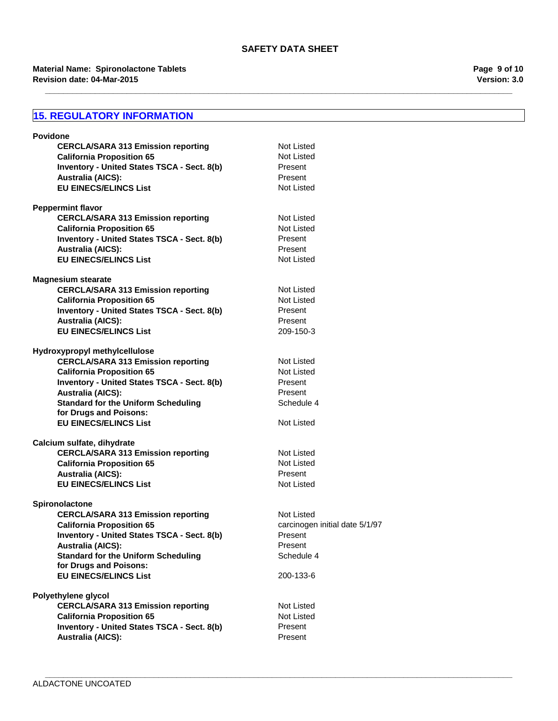**\_\_\_\_\_\_\_\_\_\_\_\_\_\_\_\_\_\_\_\_\_\_\_\_\_\_\_\_\_\_\_\_\_\_\_\_\_\_\_\_\_\_\_\_\_\_\_\_\_\_\_\_\_\_\_\_\_\_\_\_\_\_\_\_\_\_\_\_\_\_\_\_\_\_\_\_\_\_\_\_\_\_\_\_\_\_\_\_\_\_\_\_\_\_\_\_\_\_\_\_\_\_\_**

**\_\_\_\_\_\_\_\_\_\_\_\_\_\_\_\_\_\_\_\_\_\_\_\_\_\_\_\_\_\_\_\_\_\_\_\_\_\_\_\_\_\_\_\_\_\_\_\_\_\_\_\_\_\_\_\_\_\_\_\_\_\_\_\_\_\_\_\_\_\_\_\_\_\_\_\_\_\_\_\_\_\_\_\_\_\_\_\_\_\_\_\_\_\_\_\_\_\_\_\_\_\_\_**

#### **Revision date: 04-Mar-2015 Material Name: Spironolactone Tablets**

# **15. REGULATORY INFORMATION**

| <b>Povidone</b>                                    |                                |
|----------------------------------------------------|--------------------------------|
| <b>CERCLA/SARA 313 Emission reporting</b>          | Not Listed                     |
| <b>California Proposition 65</b>                   | Not Listed                     |
| Inventory - United States TSCA - Sect. 8(b)        | Present                        |
| <b>Australia (AICS):</b>                           | Present                        |
| <b>EU EINECS/ELINCS List</b>                       | Not Listed                     |
| <b>Peppermint flavor</b>                           |                                |
| <b>CERCLA/SARA 313 Emission reporting</b>          | Not Listed                     |
| <b>California Proposition 65</b>                   | Not Listed                     |
| Inventory - United States TSCA - Sect. 8(b)        | Present                        |
| <b>Australia (AICS):</b>                           | Present                        |
| <b>EU EINECS/ELINCS List</b>                       | <b>Not Listed</b>              |
| <b>Magnesium stearate</b>                          |                                |
| <b>CERCLA/SARA 313 Emission reporting</b>          | Not Listed                     |
| <b>California Proposition 65</b>                   | <b>Not Listed</b>              |
| Inventory - United States TSCA - Sect. 8(b)        | Present                        |
| <b>Australia (AICS):</b>                           | Present                        |
| <b>EU EINECS/ELINCS List</b>                       | 209-150-3                      |
| Hydroxypropyl methylcellulose                      |                                |
| <b>CERCLA/SARA 313 Emission reporting</b>          | Not Listed                     |
| <b>California Proposition 65</b>                   | Not Listed                     |
| Inventory - United States TSCA - Sect. 8(b)        | Present                        |
| <b>Australia (AICS):</b>                           | Present                        |
| <b>Standard for the Uniform Scheduling</b>         | Schedule 4                     |
| for Drugs and Poisons:                             |                                |
| <b>EU EINECS/ELINCS List</b>                       | Not Listed                     |
| Calcium sulfate, dihydrate                         |                                |
| <b>CERCLA/SARA 313 Emission reporting</b>          | Not Listed                     |
| <b>California Proposition 65</b>                   | <b>Not Listed</b>              |
| <b>Australia (AICS):</b>                           | Present                        |
| <b>EU EINECS/ELINCS List</b>                       | Not Listed                     |
| Spironolactone                                     |                                |
| <b>CERCLA/SARA 313 Emission reporting</b>          | Not Listed                     |
| <b>California Proposition 65</b>                   | carcinogen initial date 5/1/97 |
| Inventory - United States TSCA - Sect. 8(b)        | Present                        |
| <b>Australia (AICS):</b>                           | Present                        |
| <b>Standard for the Uniform Scheduling</b>         | Schedule 4                     |
| for Drugs and Poisons:                             |                                |
| <b>EU EINECS/ELINCS List</b>                       | 200-133-6                      |
| Polyethylene glycol                                |                                |
| <b>CERCLA/SARA 313 Emission reporting</b>          | Not Listed                     |
| <b>California Proposition 65</b>                   | <b>Not Listed</b>              |
| <b>Inventory - United States TSCA - Sect. 8(b)</b> | Present                        |
| <b>Australia (AICS):</b>                           | Present                        |
|                                                    |                                |